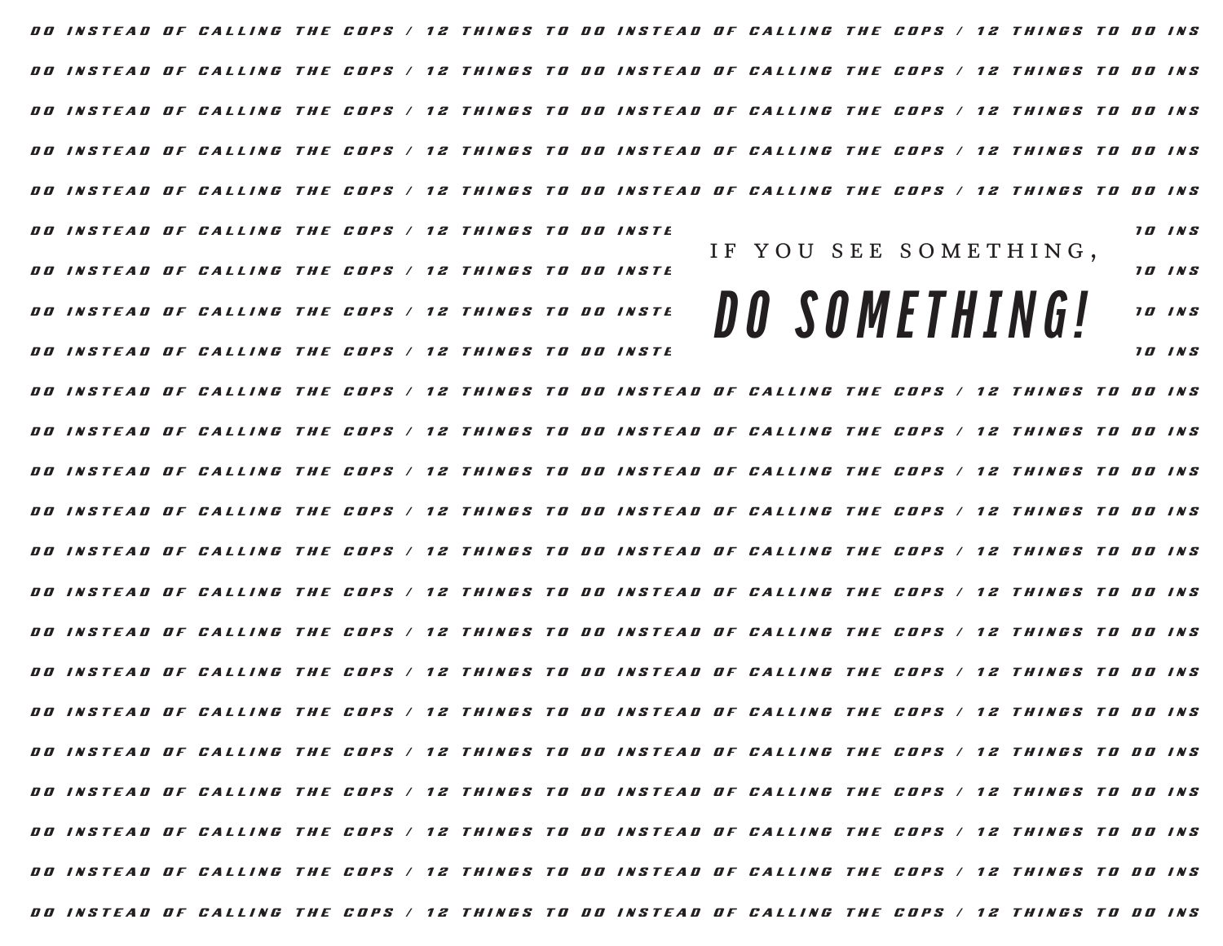DO INSTEAD OF CALLING THE COPS / 12 THINGS TO DO INSTEAD OF CALLING THE COPS / 12 THINGS TO DO INS DO INSTEAD OF CALLING THE COPS / 12 THINGS TO DO INSTEAD OF CALLING THE COPS / 12 THINGS TO DO INS DO INSTEAD OF CALLING THE COPS / 12 THINGS TO DO INSTEAD OF CALLING THE COPS / 12 THINGS TO DO INS DO INSTEAD OF CALLING THE COPS / 12 THINGS TO DO INSTEAD OF CALLING THE COPS / 12 THINGS TO DO INS DO INSTEAD OF CALLING THE COPS / 12 THINGS TO DO INSTEAD OF CALLING THE COPS / 12 THINGS TO DO INS DO INSTEAD OF CALLING THE COPS / 12 THINGS TO DO INSTE DO INSTEAD OF CALLING THE COPS / 12 THINGS TO DO INSTE D O I N S T E A D O F C A L L I N G T H E C O P S / 1 2 T H I N G S T O D O I N S T E A D O F C A L L I N G T H E C O P S / 1 2 T H I N G S T O D O I N S DO INSTEAD OF CALLING THE COPS / 12 THINGS TO DO INSTE DO INSTEAD OF CALLING THE COPS / 12 THINGS TO DO INSTEAD OF CALLING THE COPS / 12 THINGS TO DO INS DO INSTEAD OF CALLING THE COPS / 12 THINGS TO DO INSTEAD OF CALLING THE COPS / 12 THINGS TO DO INS DO INSTEAD OF CALLING THE COPS / 12 THINGS TO DO INSTEAD OF CALLING THE COPS / 12 THINGS TO DO INS DO INSTEAD OF CALLING THE COPS / 12 THINGS TO DO INSTEAD OF CALLING THE COPS / 12 THINGS TO DO INS DO INSTEAD OF CALLING THE COPS / 12 THINGS TO DO INSTEAD OF CALLING THE COPS / 12 THINGS TO DO INS DO INSTEAD OF CALLING THE COPS / 12 THINGS TO DO INSTEAD OF CALLING THE COPS / 12 THINGS TO DO INS DO INSTEAD OF CALLING THE COPS / 12 THINGS TO DO INSTEAD OF CALLING THE COPS / 12 THINGS TO DO INS DO INSTEAD OF CALLING THE COPS / 12 THINGS TO DO INSTEAD OF CALLING THE COPS / 12 THINGS TO DO INS DO INSTEAD OF CALLING THE COPS / 12 THINGS TO DO INSTEAD OF CALLING THE COPS / 12 THINGS TO DO INS DO INSTEAD OF CALLING THE COPS / 12 THINGS TO DO INSTEAD OF CALLING THE COPS / 12 THINGS TO DO INS DO INSTEAD OF CALLING THE COPS / 12 THINGS TO DO INSTEAD OF CALLING THE COPS / 12 THINGS TO DO INS DO INSTEAD OF CALLING THE COPS / 12 THINGS TO DO INSTEAD OF CALLING THE COPS / 12 THINGS TO DO INS IF YOU SEE SOMETHING, **D O S O M E T H I N G !**

DO INSTEAD OF CALLING THE COPS / 12 THINGS TO DO INSTEAD OF CALLING THE COPS / 12 THINGS TO DO INS

DO INSTEAD OF CALLING THE COPS / 12 THINGS TO DO INSTEAD OF CALLING THE COPS / 12 THINGS TO DO INS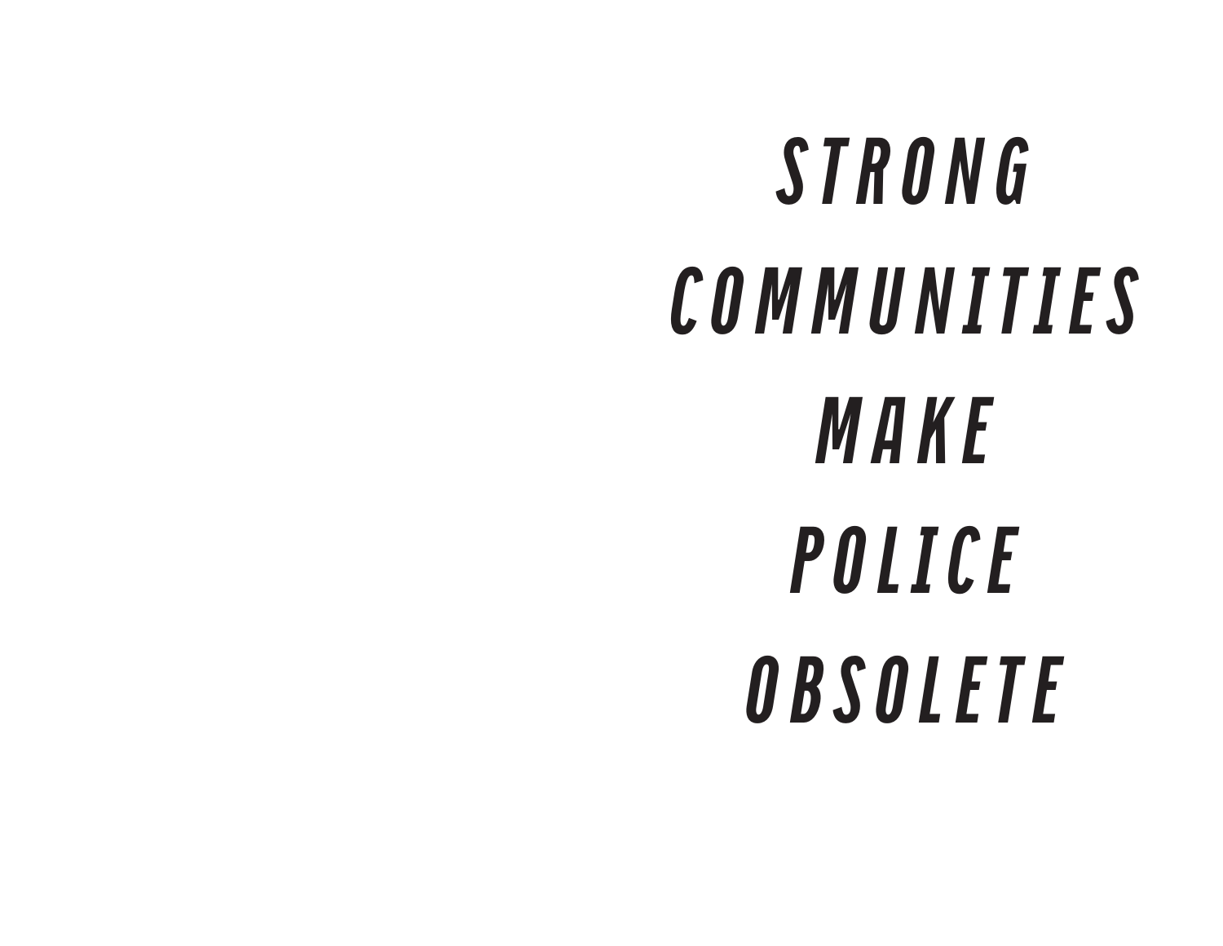# **S T R O N G C O M M U N I T I E S M A K E P O L I C E O B S O L E T E**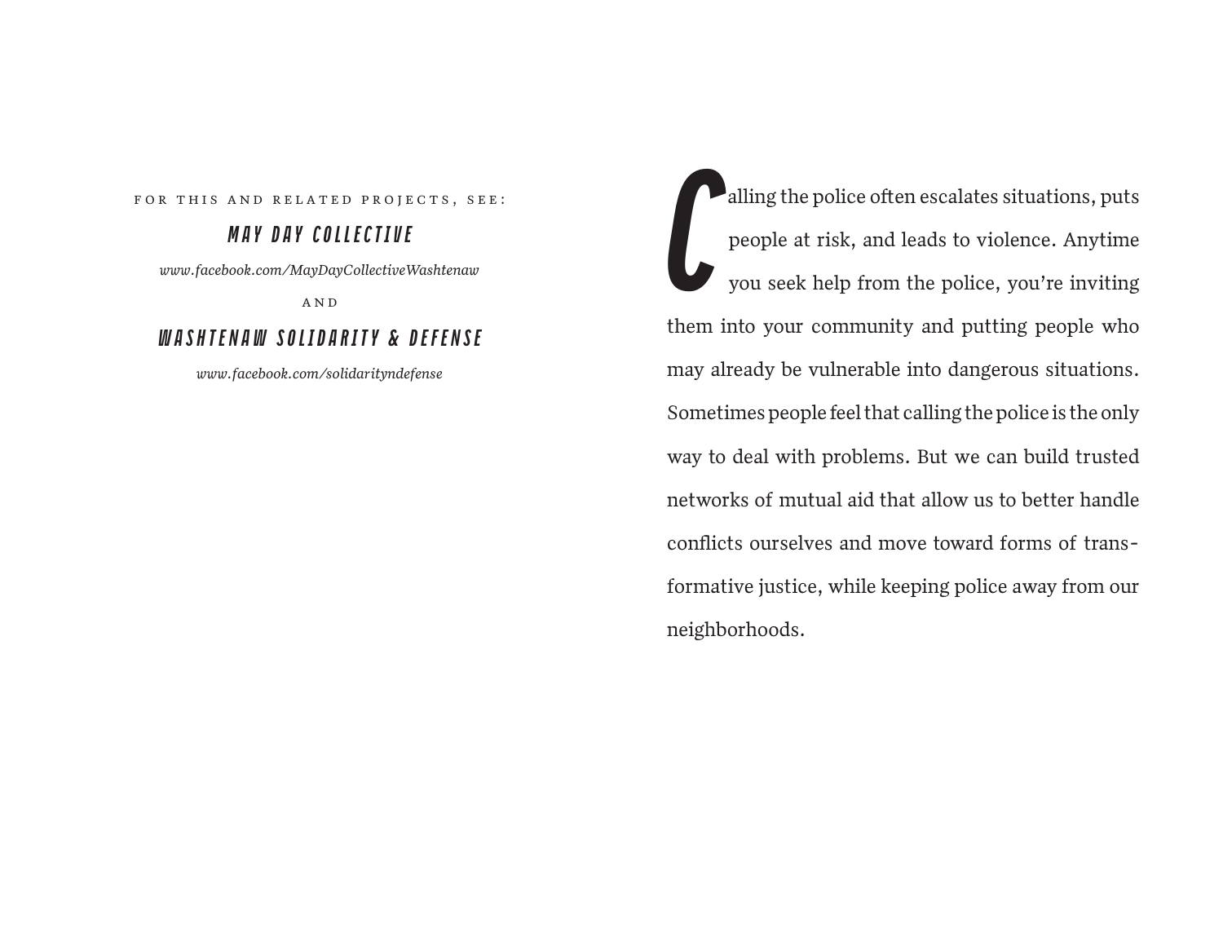FOR THIS AND RELATED PROJECTS, SEE:

# **M A Y D A Y C O L L E C T I V E**

*www.facebook.com/MayDayCollectiveWashtenaw*

A N D

# **W A S H T E N A W S O L I D A R I T Y & D E F E N S E**

*www.facebook.com/solidarityndefense*

**C** alling the police often escalates situations, puts people at risk, and leads to violence. Anytime you seek help from the police, you're inviting them into your community and putting people who may already be vulnerable into dangerous situations. Sometimes people feel that calling the police is the only way to deal with problems. But we can build trusted networks of mutual aid that allow us to better handle conflicts ourselves and move toward forms of transformative justice, while keeping police away from our neighborhoods.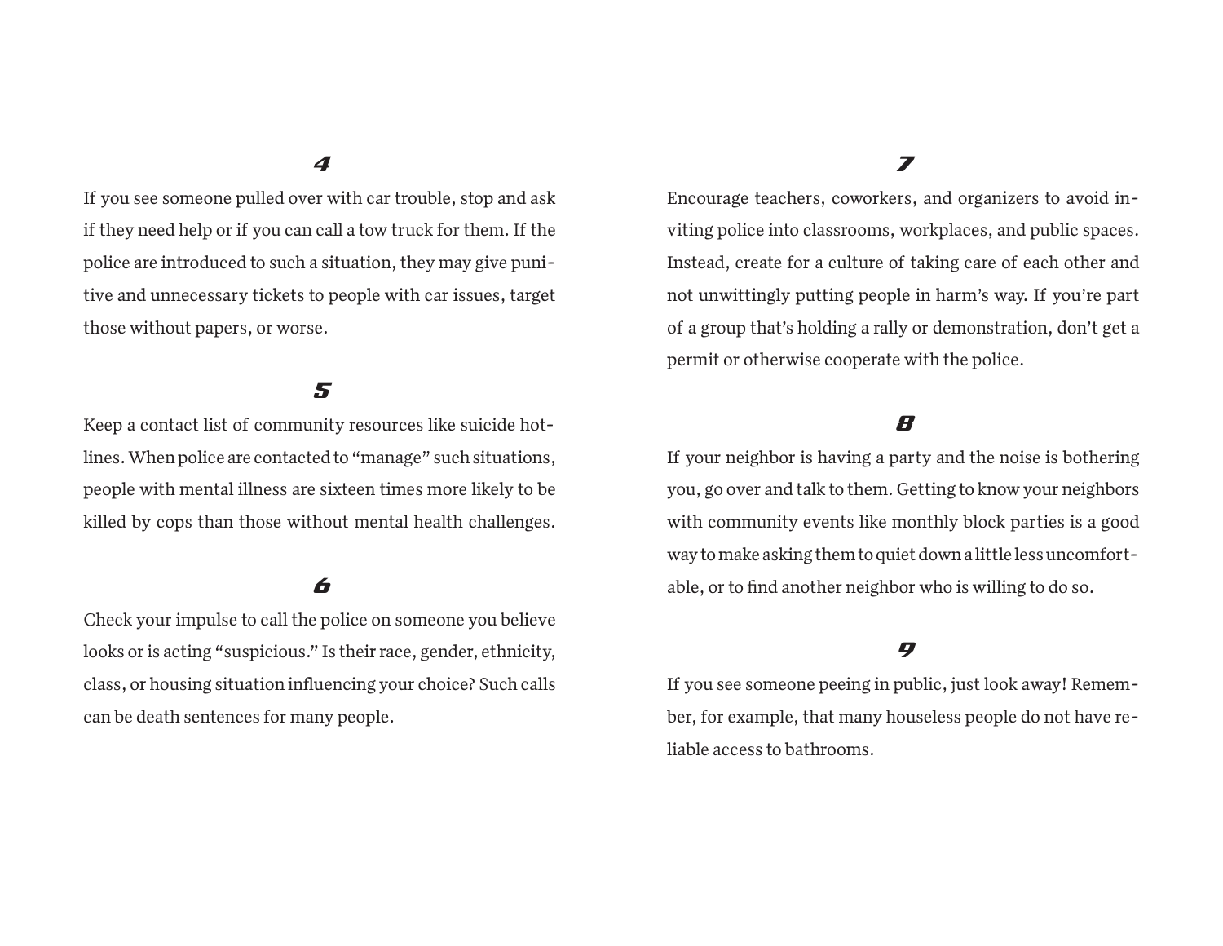If you see someone pulled over with car trouble, stop and ask if they need help or if you can call a tow truck for them. If the police are introduced to such a situation, they may give punitive and unnecessary tickets to people with car issues, target those without papers, or worse.

#### 5

Keep a contact list of community resources like suicide hotlines. When police are contacted to "manage" such situations, people with mental illness are sixteen times more likely to be killed by cops than those without mental health challenges.

#### 6

Check your impulse to call the police on someone you believe looks or is acting "suspicious." Is their race, gender, ethnicity, class, or housing situation in�uencing your choice? Such calls can be death sentences for many people.

# 7

Encourage teachers, coworkers, and organizers to avoid in viting police into classrooms, workplaces, and public spaces. Instead, create for a culture of taking care of each other and not unwittingly putting people in harm's way. If you're part of a group that's holding a rally or demonstration, don't get a permit or otherwise cooperate with the police.

#### 8

If your neighbor is having a party and the noise is bothering you, go over and talk to them. Getting to know your neighbors with community events like monthly block parties is a good way to make asking them to quiet down a little less uncomfortable, or to find another neighbor who is willing to do so.

# 9

If you see someone peeing in public, just look away! Remember, for example, that many houseless people do not have reliable access to bathrooms.